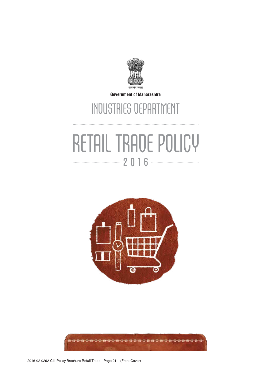

**Government of Maharashtra** 

## INDUSTRIES DEPARTMENT

# RETAIL TRADE POLICY **2016**

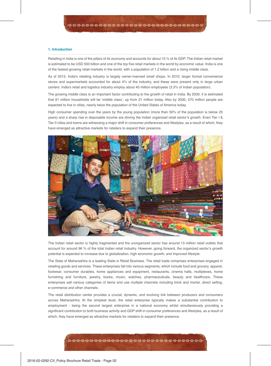#### **1. Introduction**

Retailing in India is one of the pillars of its economy and accounts for about 15 % of its GDP. The Indian retail market is estimated to be USD 500 billion and one of the top five retail markets in the world by economic value. India is one of the fastest-growing retail markets in the world, with a population of 1.2 billion and a rising middle class.

As of 2015, India's retailing industry is largely owner-manned small shops. In 2010, larger format convenience stores and supermarkets accounted for about 4% of the industry, and these were present only in large urban centers. India's retail and logistics industry employ about 40 million employees (3.3% of Indian population).

The growing middle class is an important factor contributing to the growth of retail in India. By 2030, it is estimated that 91 million households will be 'middle class', up from 21 million today. Also by 2030, 570 million people are expected to live in cities, nearly twice the population of the United States of America today.

High consumer spending over the years by the young population (more than 50% of the population is below 25 years) and a sharp rise in disposable income are driving the Indian organized retail sector's growth. Even Tier I & Tier II cities and towns are witnessing a major shift in consumer preferences and lifestyles, as a result of which, they have emerged as attractive markets for retailers to expand their presence.



The Indian retail sector is highly fragmented and the unorganized sector has around 13 million retail outlets that account for around 96 % of the total Indian retail industry. However, going forward, the organized sector's growth potential is expected to increase due to globalization, high economic growth, and improved lifestyle.

The State of Maharashtra is a leading State in Retail Business. The retail trade comprises enterprises engaged in retailing goods and services. These enterprises fall into various segments, which include food and grocery, apparel, footwear, consumer durables, home appliances and equipment, restaurants, cinema halls, multiplexes, home furnishing and furniture, jewelry, books, music, watches, pharmaceuticals, beauty and healthcare. These enterprises sell various categories of items and use multiple channels including brick and mortar, direct selling, e-commerce and other channels.

The retail distribution center provides a crucial, dynamic, and evolving link between producers and consumers across Maharashtra. At the simplest level, the retail enterprise typically makes a substantial contribution to employment - being the second largest enterprise in a national economy whilst simultaneously providing a significant contribution to both business activity and GDP shift in consumer preferences and lifestyles, as a result of which, they have emerged as attractive markets for retailers to expand their presence.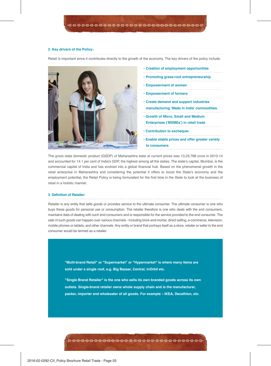#### **2. Key drivers of the Policy:**

Retail is important since it contributes directly to the growth of the economy. The key drivers of the policy include:



- **Creation of employment opportunities**
- **Promoting grass-root entrepreneurship**
- **Empowerment of women**
- **Empowerment of farmers**
- **Create demand and support industries manufacturing 'Made in India' commodities.**
- **Growth of Micro, Small and Medium Enterprises ('MSMEs') in retail trade**
- **Contribution to exchequer**
- **Enable stable prices and offer greater variety to consumers**

The gross state domestic product (GSDP) of Maharashtra state at current prices was 13,23,768 crore in 2013-14 and accounted for 14.1 per cent of India's GDP, the highest among all the states. The state's capital, Mumbai, is the commercial capital of India and has evolved into a global financial hub. Based on the phenomenal growth in the retail enterprise in Maharashtra and considering the potential it offers to boost the State's economy and the employment potential, the Retail Policy is being formulated for the first time in the State to look at the business of retail in a holistic manner.

#### **3. Definition of Retailer:**

Retailer is any entity that sells goods or provides service to the ultimate consumer. The ultimate consumer is one who buys these goods for personal use or consumption. The retailer therefore is one who deals with the end consumers, maintains data of dealing with such end consumers and is responsible for the service provided to the end consumer. The sale of such goods can happen over various channels - including brick-and-mortar, direct selling, e-commerce, television, mobile phones or tablets, and other channels. Any entity or brand that portrays itself as a store, retailer or seller to the end consumer would be termed as a retailer.

**"Multi-brand Retail" or "Supermarket" or "Hypermarket" is where many items are sold under a single roof, e.g. Big Bazaar, Central, InOrbit etc.**

**"Single Brand Retailer" is the one who sells its own branded goods across its own outlets. Single-brand retailer owns whole supply chain and is the manufacturer, packer, importer and wholesaler of all goods. For example – IKEA, Decathlon, etc.**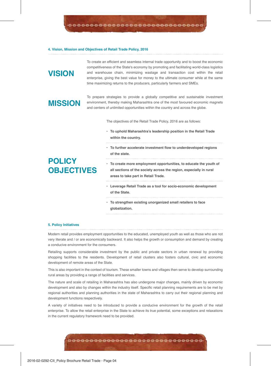#### **4. Vision, Mission and Objectives of Retail Trade Policy, 2016**

## **VISION**

To create an efficient and seamless internal trade opportunity and to boost the economic competitiveness of the State's economy by promoting and facilitating world-class logistics and warehouse chain, minimizing wastage and transaction cost within the retail enterprise, giving the best value for money to the ultimate consumer while at the same time maximizing returns to the producers, particularly farmers and SMEs.

## **MISSION**

To prepare strategies to provide a globally competitive and sustainable investment environment, thereby making Maharashtra one of the most favoured economic magnets and centers of unlimited opportunities within the country and across the globe.

The objectives of the Retail Trade Policy, 2016 are as follows:

- **To uphold Maharashtra's leadership position in the Retail Trade within the country.**
- **To further accelerate investment flow to underdeveloped regions of the state.**

#### **• To create more employment opportunities, to educate the youth of all sections of the society across the region, especially in rural areas to take part in Retail Trade.**

- **Leverage Retail Trade as a tool for socio-economic development of the State.**
- **To strengthen existing unorganized small retailers to face globalization.**

#### **5. Policy Initiatives**

Modern retail provides employment opportunities to the educated, unemployed youth as well as those who are not very literate and / or are economically backward. It also helps the growth or consumption and demand by creating a conducive environment for the consumers.

Retailing supports considerable investment by the public and private sectors in urban renewal by providing shopping facilities to the residents. Development of retail clusters also fosters cultural, civic and economic development of remote areas of the State.

This is also important in the context of tourism. These smaller towns and villages then serve to develop surrounding rural areas by providing a range of facilities and services.

The nature and scale of retailing in Maharashtra has also undergone major changes, mainly driven by economic development and also by changes within the industry itself. Specific retail planning requirements are to be met by regional authorities and planning authorities in the state of Maharashtra to carry out their regional planning and development functions respectively.

A variety of initiatives need to be introduced to provide a conducive environment for the growth of the retail enterprise. To allow the retail enterprise in the State to achieve its true potential, some exceptions and relaxations in the current regulatory framework need to be provided.

## **POLICY OBJECTIVES**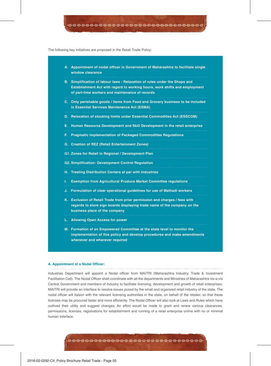The following key initiatives are proposed in the Retail Trade Policy:

- **A. Appointment of nodal officer in Government of Maharashtra to facilitate single window clearance**
- **B. Simplification of labour laws Relaxation of rules under the Shops and Establishment Act with regard to working hours, work shifts and employment of part-time workers and maintenance of records**
- **C. Only perishable goods / items from Food and Grocery business to be included in Essential Services Maintenance Act (ESMA)**
- **D. Relaxation of stocking limits under Essential Commodities Act (ESSCOM)**
- **E. Human Resource Development and Skill Development in the retail enterprise**
- **F. Pragmatic implementation of Packaged Commodities Regulations**
- **G. Creation of REZ (Retail Entertainment Zones)**
- **G1. Zones for Retail in Regional / Development Plan**
- **G2. Simplification: Development Control Regulation**
- **H. Treating Distribution Centers at par with Industries**
- **I. Exemption from Agricultural Produce Market Committee regulations**
- **J. Formulation of clear operational guidelines for use of Mathadi workers**
- **K. Exclusion of Retail Trade from prior permission and charges / fees with regards to store sign boards displaying trade name of the company on the business place of the company**
- **L. Allowing Open Access for power**
- **M. Formation of an Empowered Committee at the state level to monitor the implementation of this policy and develop procedures and make amendments whenever and wherever required**

#### **A. Appointment of a Nodal Officer:**

Industries Department will appoint a Nodal officer from MAITRI (Maharashtra Industry, Trade & Investment Facilitation Cell). The Nodal Officer shall coordinate with all the departments and Ministries of Maharashtra vis-a-vis Central Government and members of industry to facilitate licensing, development and growth of retail enterprises. MAITRI will provide an interface to resolve issues posed by the small and organized retail industry of the state. The nodal officer will liaison with the relevant licensing authorities in the state, on behalf of the retailer, so that these licenses may be procured faster and more efficiently. The Nodal Officer will also look at Laws and Rules which have outlived their utility and suggest changes. An effort would be made to grant and renew various clearances, permissions, licenses, registrations for establishment and running of a retail enterprise online with no or minimal human interface.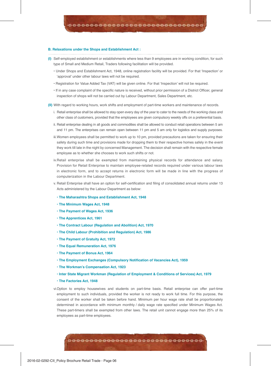#### **B. Relaxations under the Shops and Establishment Act :**

- **(I)** Self-employed establishment or establishments where less than 9 employees are in working condition, for such type of Small and Medium Retail, Traders following facilitation will be provided.
	- Under Shops and Establishment Act, 1948, online registration facility will be provided. For that 'Inspection' or 'approval' under other labour laws will not be required.
	- Registration for Value Added Tax (VAT) will be given online. For that 'Inspection' will not be required.
	- If in any case complaint of the specific nature is received, without prior permission of a District Officer, general inspection of shops will not be carried out by Labour Department, Sales Department, etc.
- **(II)** With regard to working hours, work shifts and employment of part-time workers and maintenance of records.
	- i. Retail enterprise shall be allowed to stay open every day of the year to cater to the needs of the working class and other class of customers, provided that the employees are given compulsory weekly offs on a preferential basis.
	- ii. Retail enterprise dealing in all goods and commodities shall be allowed to conduct retail operations between 5 am and 11 pm. The enterprises can remain open between 11 pm and 5 am only for logistics and supply purposes.
	- iii. Women employees shall be permitted to work up to 10 pm, provided precautions are taken for ensuring their safety during such time and provisions made for dropping them to their respective homes safely in the event they work till late in the night by concerned Management. The decision shall remain with the respective female employee as to whether she chooses to work such shifts or not.
	- iv. Retail enterprise shall be exempted from maintaining physical records for attendance and salary. Provision for Retail Enterprise to maintain employee-related records required under various labour laws in electronic form, and to accept returns in electronic form will be made in line with the progress of computerization in the Labour Department.
	- v. Retail Enterprise shall have an option for self-certification and filing of consolidated annual returns under 13 Acts administered by the Labour Department as below:
		- **The Maharashtra Shops and Establishment Act, 1948**
		- **The Minimum Wages Act, 1948**
		- **The Payment of Wages Act, 1936**
		- **The Apprentices Act, 1961**
		- **The Contract Labour (Regulation and Abolition) Act, 1970**
		- **The Child Labour (Prohibition and Regulation) Act, 1986**
		- **The Payment of Gratuity Act, 1972**
		- **The Equal Remuneration Act, 1976**
		- **The Payment of Bonus Act, 1964**
		- **The Employment Exchanges (Compulsory Notification of Vacancies Act), 1959**
		- **The Workman's Compensation Act, 1923**
		- **Inter State Migrant Workman (Regulation of Employment & Conditions of Services) Act, 1979**
		- **The Factories Act, 1948**

vi. Option to employ housewives and students on part-time basis. Retail enterprise can offer part-time employment to such individuals, provided the worker is not ready to work full time. For this purpose, the consent of the worker shall be taken before hand. Minimum per hour wage rate shall be proportionately determined in accordance with minimum monthly / daily wage rate specified under Minimum Wages Act. These part-timers shall be exempted from other laws. The retail unit cannot engage more than 25% of its employees as part-time employees.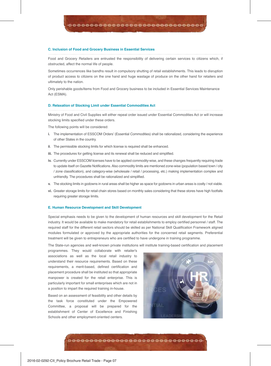#### **C. Inclusion of Food and Grocery Business in Essential Services**

Food and Grocery Retailers are entrusted the responsibility of delivering certain services to citizens which, if obstructed, affect the normal life of people.

Sometimes occurrences like bandhs result in compulsory shutting of retail establishments. This leads to disruption of product access to citizens on the one hand and huge wastage of produce on the other hand for retailers and ultimately to the nation.

Only perishable goods/items from Food and Grocery business to be included in Essential Services Maintenance Act (ESMA).

#### **D. Relaxation of Stocking Limit under Essential Commodities Act**

Ministry of Food and Civil Supplies will either repeal order issued under Essential Commodities Act or will increase stocking limits specified under these orders.

The following points will be considered:

- **i.** The implementation of ESSCOM Orders' (Essential Commodities) shall be rationalized, considering the experience of other States in the country.
- **ii**. The permissible stocking limits for which license is required shall be enhanced.
- **iii.** The procedures for getting license and its renewal shall be reduced and simplified.
- **iv.** Currently under ESSCOM licenses have to be applied commodity-wise, and these changes frequently requiring trade to update itself on Gazette Notifications. Also commodity limits are mentioned zone-wise (population based town / city / zone classification), and category-wise (wholesale / retail / processing, etc.) making implementation complex and unfriendly. The procedures shall be rationalized and simplified.
- **v.** The stocking limits in godowns in rural areas shall be higher as space for godowns in urban areas is costly / not viable.
- **vi.** Greater storage limits for retail chain stores based on monthly sales considering that these stores have high footfalls requiring greater storage limits.

#### **E. Human Resource Development and Skill Development**

Special emphasis needs to be given to the development of human resources and skill development for the Retail industry. It would be available to make mandatory for retail establishments to employ certified personnel / staff. The required staff for the different retail sectors should be skilled as per National Skill Qualification Framework aligned modules formulated or approved by the appropriate authorities for the concerned retail segments. Preferential treatment will be given to entrepreneurs who are certified to have undergone in training programme.

The State-run agencies and well-known private institutions will institute training-based certification and placement

programmes. They would collaborate with retailer's associations as well as the local retail industry to understand their resource requirements. Based on these requirements, a merit-based, defined certification and placement procedure shall be instituted so that appropriate manpower is created for the retail enterprise. This is particularly important for small enterprises which are not in a position to impart the required training in-house.

Based on an assessment of feasibility and other details by the task force constituted under the Empowered Committee, a proposal will be prepared for the establishment of Center of Excellence and Finishing Schools and other employment-oriented centers.

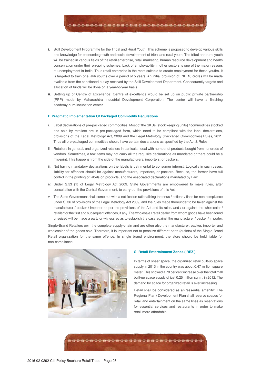- **i.** Skill Development Programme for the Tribal and Rural Youth: This scheme is proposed to develop various skills and knowledge for economic growth and social development of tribal and rural youth. The tribal and rural youth will be trained in various fields of the retail enterprise, retail marketing, human resource development and health conservation under their on-going schemes. Lack of employability in other sectors is one of the major reasons of unemployment in India. Thus retail enterprise is the most suitable to create employment for these youths. It is targeted to train one lakh youths over a period of 5 years. An initial provision of INR 10 crores will be made available from the sanctioned outlay received by the Skill Development Department. Consequently targets and allocation of funds will be done on a year-to-year basis.
- **ii.** Setting up of Centre of Excellence: Centre of excellence would be set up on public private partnership (PPP) mode by Maharashtra Industrial Development Corporation. The center will have a finishing academy-cum-incubation center.

#### **F. Pragmatic Implementation Of Packaged Commodity Regulations**

- i. Label declarations of pre-packaged commodities: Most of the SKUs (stock keeping units) / commodities stocked and sold by retailers are in pre-packaged form, which need to be compliant with the label declarations, provisions of the Legal Metrology Act, 2009 and the Legal Metrology (Packaged Commodities) Rules, 2011. Thus all pre-packaged commodities should have certain declarations as specified by the Act & Rules.
- ii. Retailers in general, and organized retailers in particular, deal with number of products bought from hundreds of vendors. Sometimes, a few items may not carry all the requisite declarations as mandated or there could be a mis-print. This happens from the side of the manufacturers, importers, or packers.
- iii. Not having mandatory declarations on the labels is detrimental to consumer interest. Logically in such cases, liability for offences should be against manufacturers, importers, or packers. Because, the former have full control in the printing of labels on products, and the associated declarations mandated by Law.
- iv. Under S.53 (1) of Legal Metrology Act 2009, State Governments are empowered to make rules, after consultation with the Central Government, to carry out the provisions of this Act.
- v. The State Government shall come out with a notification rationalizing the onus / actions / fines for non-compliance under S. 36 of provisions of the Legal Metrology Act 2009, and the rules made thereunder to be taken against the manufacturer / packer / importer as per the provisions of the Act and its rules, and / or against the wholesaler / retailer for the first and subsequent offences, if any. The wholesale / retail dealer from whom goods have been found or seized will be made a party or witness so as to establish the case against the manufacturer / packer / importer.

Single-Brand Retailers own the complete supply-chain and are often also the manufacturer, packer, importer and wholesaler of the goods sold. Therefore, it is important not to penalize different parts (outlets) of the Single-Brand Retail organization for the same offence. In single brand environment, the store should be held liable for non-compliance.



#### **G. Retail Entertainment Zones ( REZ )**

In terms of sheer space, the organized retail built-up space supply in 2013 in the country was about 0.47 million square meter. This showed a 78 per cent increase over the total mall built-up space supply of just 0.25 million sq. m. in 2012. The demand for space for organized retail is ever increasing.

Retail shall be considered as an 'essential amenity'. The Regional Plan / Development Plan shall reserve spaces for retail and entertainment on the same lines as reservations for essential services and restaurants in order to make retail more affordable.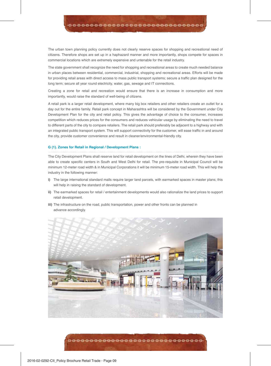The urban town planning policy currently does not clearly reserve spaces for shopping and recreational need of citizens. Therefore shops are set up in a haphazard manner and more importantly, shops compete for spaces in commercial locations which are extremely expensive and untenable for the retail industry.

The state government shall recognize the need for shopping and recreational areas to create much needed balance in urban places between residential, commercial, industrial, shopping and recreational areas. Efforts will be made for providing retail areas with direct access to mass public transport systems; secure a traffic plan designed for the long term; secure all year round electricity, water, gas, sewage and IT connections.

Creating a zone for retail and recreation would ensure that there is an increase in consumption and more importantly, would raise the standard of well‐being of citizens.

A retail park is a larger retail development, where many big box retailers and other retailers create an outlet for a day out for the entire family. Retail park concept in Maharashtra will be considered by the Government under City Development Plan for the city and retail policy. This gives the advantage of choice to the consumer, increases competition which reduces prices for the consumers and reduces vehicular usage by eliminating the need to travel to different parts of the city to compare retailers. The retail park should preferably be adjacent to a highway and with an integrated public transport system. This will support connectivity for the customer, will ease traffic in and around the city, provide customer convenience and result in cleaner/environmental-friendly city.

#### **G (1). Zones for Retail in Regional / Development Plans :**

The City Development Plans shall reserve land for retail development on the lines of Delhi, wherein they have been able to create specific centers in South and West Delhi for retail. The pre-requisite in Municipal Council will be minimum 12-meter road width & in Municipal Corporations it will be minimum 15-meter road width. This will help the industry in the following manner:

- **i)** The large international standard malls require larger land parcels, with earmarked spaces in master plans; this will help in raising the standard of development.
- **ii)** The earmarked spaces for retail / entertainment developments would also rationalize the land prices to support retail development.
- **iii)** The infrastructure on the road, public transportation, power and other fronts can be planned in advance accordingly.

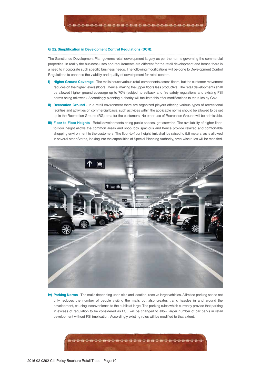#### **G (2). Simplification in Development Control Regulations (DCR):**

The Sanctioned Development Plan governs retail development largely as per the norms governing the commercial properties. In reality the business uses and requirements are different for the retail development and hence there is a need to incorporate such specific business needs. The following modifications will be done to Development Control Regulations to enhance the viability and quality of development for retail centers.

- **i) Higher Ground Coverage -** The malls house various retail components across floors, but the customer movement reduces on the higher levels (floors), hence, making the upper floors less productive. The retail developments shall be allowed higher ground coverage up to 70% (subject to setback and fire safety regulations and existing FSI norms being followed). Accordingly planning authority will facilitate this after modifications to the rules by Govt.
- **ii) Recreation Ground -** In a retail environment there are organized players offering various types of recreational facilities and activities on commercial basis, such activities within the applicable norms should be allowed to be set up in the Recreation Ground (RG) area for the customers. No other use of Recreation Ground will be admissible.
- **iii) Floor-to-Floor Heights -** Retail developments being public spaces, get crowded. The availability of higher floorto-floor height allows the common areas and shop look spacious and hence provide relaxed and comfortable shopping environment to the customers. The floor-to-floor height limit shall be raised to 5.5 meters, as is allowed in several other States, looking into the capabilities of Special Planning Authority, area-wise rules will be modified.



**iv) Parking Norms -** The malls depending upon size and location, receive large vehicles. A limited parking space not only reduces the number of people visiting the malls but also creates traffic hassles in and around the development, causing inconvenience to the public at large. The parking rules which currently provide that parking in excess of regulation to be considered as FSI, will be changed to allow larger number of car parks in retail development without FSI implication. Accordingly existing rules will be modified to that extent.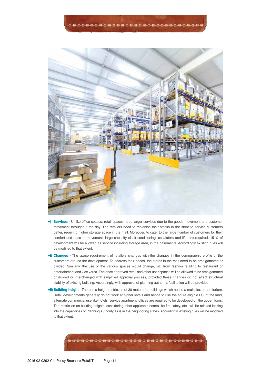

- **v) Services -** Unlike office spaces, retail spaces need larger services due to the goods movement and customer movement throughout the day. The retailers need to replenish their stocks in the store to service customers better, requiring higher storage space in the mall. Moreover, to cater to the large number of customers for their comfort and ease of movement, large capacity of air-conditioning, escalators and lifts are required. 15 % of development will be allowed as service including storage area, in the basements. Accordingly existing rules will be modified to that extent.
- **vi) Changes -** The space requirement of retailers changes with the changes in the demographic profile of the customers around the development. To address their needs, the stores in the mall need to be amalgamated or divided. Similarly, the use of the various spaces would change, viz. from fashion retailing to restaurant or entertainment and vice versa. The once approved retail and other user spaces will be allowed to be amalgamated or divided or interchanged with simplified approval process, provided these changes do not affect structural stability of existing building. Accordingly, with approval of planning authority, facilitation will be provided.
- **vii) Building height -** There is a height restriction of 30 meters for buildings which house a multiplex or auditorium. Retail developments generally do not work at higher levels and hence to use the entire eligible FSI of the land, alternate commercial use like hotels, service apartment, offices are required to be developed on the upper floors. The restriction on building heights, considering other applicable norms like fire safety, etc., will be relaxed looking into the capabilities of Planning Authority as is in the neighboring states. Accordingly, existing rules will be modified to that extent.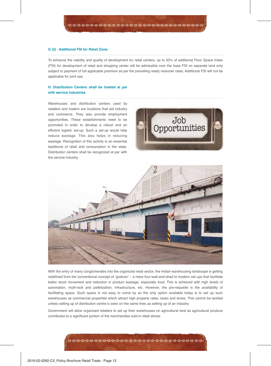#### **G (3) . Additional FSI for Retail Zone:**

To enhance the viability and quality of development for retail centers, up to 50% of additional Floor Space Index (FSI) for development of retail and shopping center will be admissible over the base FSI on separate land only subject to payment of full applicable premium as per the prevailing ready reckoner rates. Additional FSI will not be applicable for joint use.

#### **H. Distribution Centers shall be treated at par with service industries**

Warehouses and distribution centers used by retailers and traders are locations that aid industry and commerce. They also provide employment opportunities. These establishments need to be promoted in order to develop a robust and an efficient logistic set-up. Such a set-up would help reduce wastage. This also helps in reducing wastage. Recognition of this activity is an essential backbone of retail and consumption in the state. Distribution centers shall be recognized at par with the service industry.





With the entry of many conglomerates into the organized retail sector, the Indian warehousing landscape is getting redefined from the conventional concept of 'godown' – a mere four-wall-and-shed to modern set ups that facilitate better stock movement and reduction in product wastage, especially food. This is achieved with high levels of automation, multi-rack and palletization, infrastructure, etc. However, the pre-requisite is the availability of facilitating space. Such space is not easy to come by as the only option available today is to set up such warehouses as commercial properties which attract high property rates, taxes and levies. This cannot be tackled unless setting up of distribution centre is seen on the same lines as setting up of an industry.

Government will allow organised retailers to set up their warehouses on agricultural land as agricultural produce contributes to a significant portion of the merchandise sold in retail stores.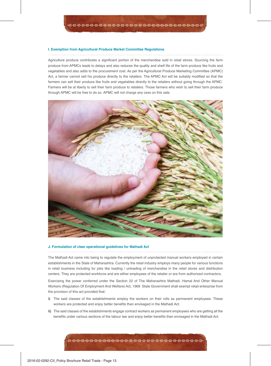#### **I. Exemption from Agricultural Produce Market Committee Regulations**

Agriculture produce contributes a significant portion of the merchandise sold in retail stores. Sourcing the farm produce from APMCs leads to delays and also reduces the quality and shelf life of the farm produce like fruits and vegetables and also adds to the procurement cost. As per the Agricultural Produce Marketing Committee (APMC) Act, a farmer cannot sell his produce directly to the retailers. The APMC Act will be suitably modified so that the farmers can sell their produce like fruits and vegetables directly to the retailers without going through the APMC. Farmers will be at liberty to sell their farm produce to retailers. Those farmers who wish to sell their farm produce through APMC will be free to do so. APMC will not charge any cess on this sale.



#### **J. Formulation of clear operational guidelines for Mathadi Act**

The Mathadi Act came into being to regulate the employment of unprotected manual workers employed in certain establishments in the State of Maharashtra. Currently the retail industry employs many people for various functions in retail business including for jobs like loading / unloading of merchandise in the retail stores and distribution centers. They are protected workforce and are either employees of the retailer or are from authorized contractors.

Exercising the power conferred under the Section 22 of The Maharashtra Mathadi, Hamal And Other Manual Workers (Regulation Of Employment And Welfare) Act, 1969 State Government shall exempt retail enterprise from the provision of this act provided that:

- **i)** The said classes of the establishments employ the workers on their rolls as permanent employees. These workers are protected and enjoy better benefits than envisaged in the Mathadi Act.
- **ii)** The said classes of the establishments engage contract workers as permanent employees who are getting all the benefits under various sections of the labour law and enjoy better benefits than envisaged in the Mathadi Act.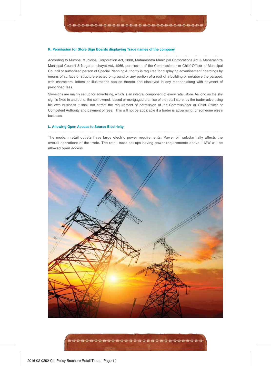#### **K. Permission for Store Sign Boards displaying Trade names of the company**

According to Mumbai Municipal Corporation Act, 1888, Maharashtra Municipal Corporations Act & Maharashtra Municipal Council & Nagarpanchayat Act, 1965, permission of the Commissioner or Chief Officer of Municipal Council or authorized person of Special Planning Authority is required for displaying advertisement hoardings by means of surface or structure erected on ground or any portion of a roof of a building or on/above the parapet, with characters, letters or illustrations applied thereto and displayed in any manner along with payment of prescribed fees.

Sky-signs are mainly set up for advertising, which is an integral component of every retail store. As long as the sky sign is fixed in and out of the self-owned, leased or mortgaged premise of the retail store, by the trader advertising his own business it shall not attract the requirement of permission of the Commissioner or Chief Officer or Competent Authority and payment of fees. This will not be applicable if a trader is advertising for someone else's business.

#### **L. Allowing Open Access to Source Electricity**

The modern retail outlets have large electric power requirements. Power bill substantially affects the overall operations of the trade. The retail trade set-ups having power requirements above 1 MW will be allowed open access.

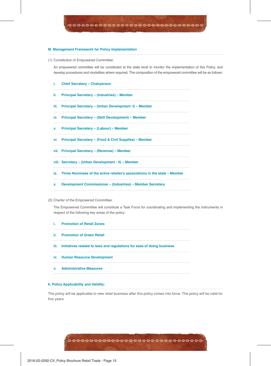#### **M. Management Framework for Policy Implementation**

(1) Constitution of Empowered Committee:

An empowered committee will be constituted at the state level to monitor the implementation of this Policy, and develop procedures and modalities where required. The composition of the empowered committee will be as follows:

- **i. Chief Secretary Chairperson**
- **ii. Principal Secretary (Industries) Member**
- **iii. Principal Secretary (Urban Development -I) Member**
- **iv. Principal Secretary (Skill Development) Member**
- **v. Principal Secretary (Labour) Member**
- **vi. Principal Secretary (Food & Civil Supplies) Member**
- **vii. Principal Secretary (Revenue) Member**
- **viii. Secretary (Urban Development II) Member**
- **ix. Three Nominees of the active retailer's associations in the state Member**
- **x. Development Commissioner (Industries) Member Secretary**
- (2) Charter of the Empowered Committee:

The Empowered Committee will constitute a Task Force for coordinating and implementing the instruments in respect of the following key areas of the policy:

- **i. Promotion of Retail Zones**
- **ii. Promotion of Green Retail**
- **iii. Initiatives related to laws and regulations for ease of doing business**
- **iv. Human Resource Development**
- **v. Administrative Measures**

#### **6. Policy Applicability and Validity:**

The policy will be applicable to new retail business after this policy comes into force. The policy will be valid for five years.